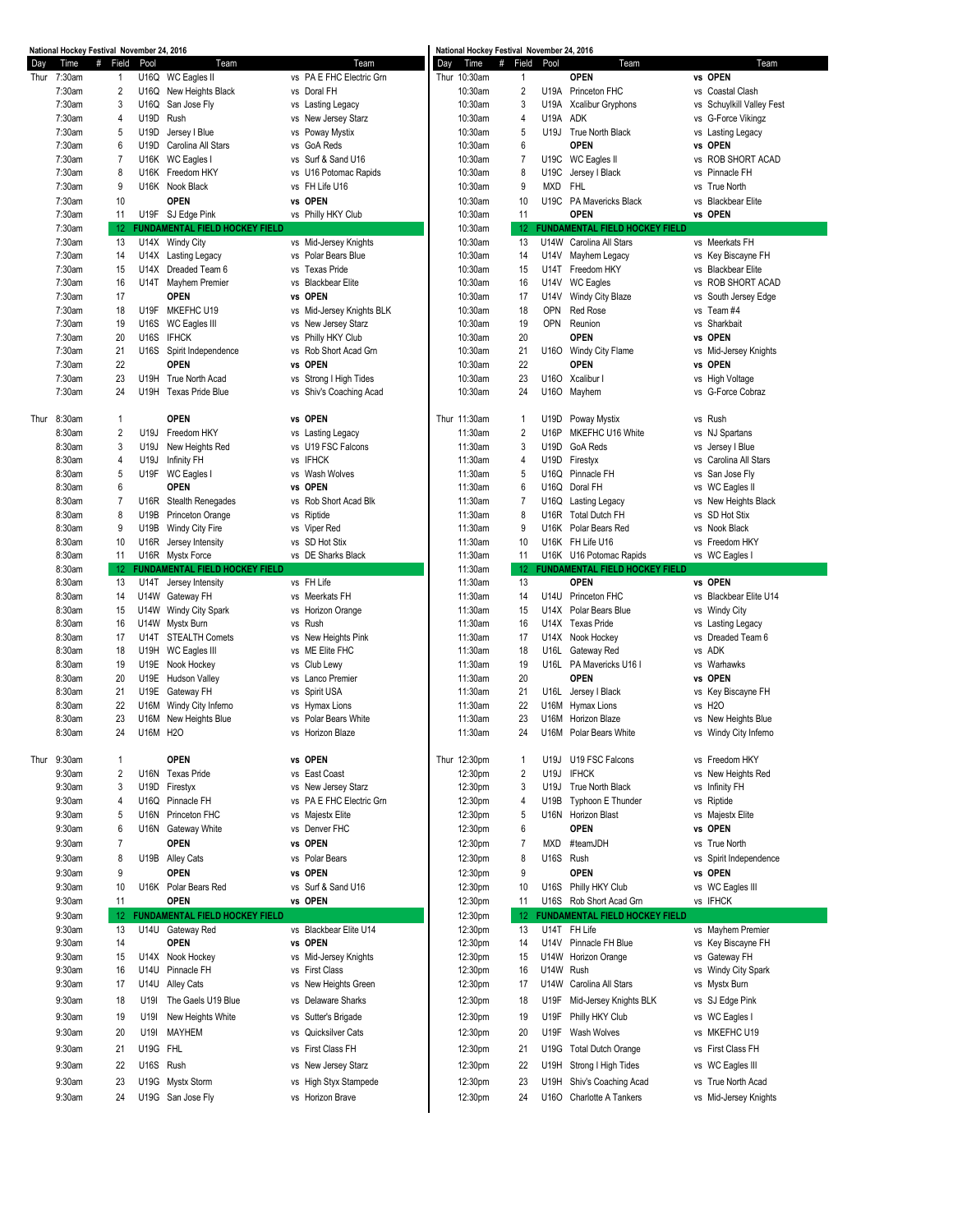|      | National Hockey Festival November 24, 2016 |                   |           |                                          |                                |                                           |     | National Hockey Festival November 24, 2016 |                                |              |                                                 |                                           |
|------|--------------------------------------------|-------------------|-----------|------------------------------------------|--------------------------------|-------------------------------------------|-----|--------------------------------------------|--------------------------------|--------------|-------------------------------------------------|-------------------------------------------|
| Day  | Time                                       | #<br>Field        | Pool      | Team                                     |                                | Team                                      | Day | Time                                       | #<br>Field                     | Pool         | Team                                            | Team                                      |
| Thur | 7:30am                                     | $\mathbf{1}$      |           | U16Q WC Eagles II                        |                                | vs PA E FHC Electric Grn                  |     | Thur 10:30am                               | $\mathbf{1}$                   |              | <b>OPEN</b>                                     | vs OPEN                                   |
|      | 7:30am                                     | 2                 |           | U16Q New Heights Black                   | vs Doral FH                    |                                           |     | 10:30am                                    | $\overline{2}$                 |              | U19A Princeton FHC                              | vs Coastal Clash                          |
|      | 7:30am                                     | 3                 | U16Q      | San Jose Fly                             |                                | vs Lasting Legacy                         |     | 10:30am                                    | 3                              | U19A         | Xcalibur Gryphons                               | vs Schuylkill Valley Fest                 |
|      | 7:30am                                     | 4                 | U19D      | Rush                                     |                                | vs New Jersey Starz                       |     | 10:30am                                    | 4                              | U19A         | <b>ADK</b>                                      | vs G-Force Vikingz                        |
|      | 7:30am<br>7:30am                           | 5<br>6            | U19D      | Jersey I Blue<br>U19D Carolina All Stars | vs Poway Mystix<br>vs GoA Reds |                                           |     | 10:30am<br>10:30am                         | 5<br>6                         |              | U19J True North Black<br><b>OPEN</b>            | vs Lasting Legacy<br>vs OPEN              |
|      | 7:30am                                     | 7                 |           | U16K WC Eagles I                         |                                | vs Surf & Sand U16                        |     | 10:30am                                    | 7                              |              | U19C WC Eagles II                               | vs ROB SHORT ACAD                         |
|      | 7:30am                                     | 8                 |           | U16K Freedom HKY                         |                                | vs U16 Potomac Rapids                     |     | 10:30am                                    | 8                              | U19C         | Jersey I Black                                  | vs Pinnacle FH                            |
|      | 7:30am                                     | 9                 |           | U16K Nook Black                          | vs FH Life U16                 |                                           |     | 10:30am                                    | 9                              | MXD          | <b>FHL</b>                                      | vs True North                             |
|      | 7:30am                                     | 10                |           | <b>OPEN</b>                              | vs OPEN                        |                                           |     | 10:30am                                    | 10                             |              | U19C PA Mavericks Black                         | vs Blackbear Elite                        |
|      | 7:30am                                     | 11                |           | U19F SJ Edge Pink                        |                                | vs Philly HKY Club                        |     | 10:30am                                    | 11                             |              | <b>OPEN</b>                                     | vs OPEN                                   |
|      | 7:30am                                     | 12                |           | FUNDAMENTAL FIELD HOCKEY FIELD           |                                |                                           |     | 10:30am                                    | 12                             |              | <b>FUNDAMENTAL FIELD HOCKEY FIELD</b>           |                                           |
|      | 7:30am                                     | 13                |           | U14X Windy City                          |                                | vs Mid-Jersey Knights                     |     | 10:30am                                    | 13                             | U14W         | Carolina All Stars                              | vs Meerkats FH                            |
|      | 7:30am                                     | 14                |           | U14X Lasting Legacy                      | ٧S                             | Polar Bears Blue                          |     | 10:30am                                    | 14                             | U14V         | Mayhem Legacy                                   | vs Key Biscayne FH                        |
|      | 7:30am                                     | 15                |           | U14X Dreaded Team 6                      | vs Texas Pride                 |                                           |     | 10:30am                                    | 15                             | U14T         | Freedom HKY                                     | vs Blackbear Elite                        |
|      | 7:30am                                     | 16                | U14T      | Mayhem Premier                           | ٧S                             | <b>Blackbear Elite</b>                    |     | 10:30am                                    | 16                             | U14V         | <b>WC Eagles</b>                                | vs ROB SHORT ACAD                         |
|      | 7:30am                                     | 17                |           | <b>OPEN</b>                              | vs OPEN                        |                                           |     | 10:30am                                    | 17                             | U14V         | Windy City Blaze                                | vs South Jersey Edge                      |
|      | 7:30am                                     | 18                |           | U19F MKEFHC U19                          |                                | vs Mid-Jersey Knights BLK                 |     | 10:30am                                    | 18                             | <b>OPN</b>   | Red Rose                                        | vs Team #4                                |
|      | 7:30am                                     | 19                |           | U16S WC Eagles III                       |                                | vs New Jersey Starz                       |     | 10:30am                                    | 19                             | <b>OPN</b>   | Reunion                                         | vs Sharkbait                              |
|      | 7:30am                                     | 20                | U16S      | <b>IFHCK</b>                             |                                | vs Philly HKY Club                        |     | 10:30am                                    | 20                             |              | <b>OPEN</b>                                     | vs OPEN                                   |
|      | 7:30am                                     | 21                |           | U16S Spirit Independence                 | ٧S                             | Rob Short Acad Grn                        |     | 10:30am                                    | 21                             |              | U16O Windy City Flame                           | vs Mid-Jersey Knights                     |
|      | 7:30am                                     | 22                |           | <b>OPEN</b>                              | vs OPEN                        |                                           |     | 10:30am                                    | 22                             |              | <b>OPEN</b>                                     | vs OPEN                                   |
|      | 7:30am                                     | 23                | U19H      | True North Acad                          |                                | vs Strong I High Tides                    |     | 10:30am                                    | 23                             |              | U16O Xcalibur I                                 | vs High Voltage                           |
|      | 7:30am                                     | 24                | U19H      | <b>Texas Pride Blue</b>                  |                                | vs Shiv's Coaching Acad                   |     | 10:30am                                    | 24                             |              | U16O Mayhem                                     | vs G-Force Cobraz                         |
|      |                                            |                   |           |                                          |                                |                                           |     |                                            |                                |              |                                                 |                                           |
|      | Thur 8:30am<br>8:30am                      | $\mathbf{1}$<br>2 |           | <b>OPEN</b><br>U19J Freedom HKY          | vs OPEN                        |                                           |     | Thur 11:30am<br>11:30am                    | $\mathbf{1}$<br>$\overline{2}$ | U19D<br>U16P | Poway Mystix<br>MKEFHC U16 White                | vs Rush                                   |
|      | 8:30am                                     | 3                 | U19J      |                                          |                                | vs Lasting Legacy<br>vs U19 FSC Falcons   |     | 11:30am                                    | 3                              | U19D         | GoA Reds                                        | vs NJ Spartans                            |
|      | 8:30am                                     | 4                 | U19J      | New Heights Red<br>Infinity FH           | <b>IFHCK</b><br>vs             |                                           |     | 11:30am                                    | 4                              | U19D         | Firestyx                                        | vs Jersey I Blue<br>vs Carolina All Stars |
|      | 8:30am                                     | 5                 |           | U19F WC Eagles I                         | vs Wash Wolves                 |                                           |     | 11:30am                                    | 5                              |              | U16Q Pinnacle FH                                | vs San Jose Fly                           |
|      | 8:30am                                     | 6                 |           | <b>OPEN</b>                              | vs OPEN                        |                                           |     | 11:30am                                    | 6                              | U16Q         | Doral FH                                        | vs WC Eagles II                           |
|      | 8:30am                                     | 7                 | U16R      | Stealth Renegades                        | ٧S                             | Rob Short Acad Blk                        |     | 11:30am                                    | 7                              |              | U16Q Lasting Legacy                             | vs New Heights Black                      |
|      | 8:30am                                     | 8                 | U19B      | <b>Princeton Orange</b>                  | vs Riptide                     |                                           |     | 11:30am                                    | 8                              |              | U16R Total Dutch FH                             | vs SD Hot Stix                            |
|      | 8:30am                                     | 9                 | U19B      | Windy City Fire                          | vs Viper Red                   |                                           |     | 11:30am                                    | 9                              |              | U16K Polar Bears Red                            | vs Nook Black                             |
|      | 8:30am                                     | 10                | U16R      | Jersey Intensity                         | vs SD Hot Stix                 |                                           |     | 11:30am                                    | 10                             |              | U16K FH Life U16                                | vs Freedom HKY                            |
|      | 8:30am                                     | 11                |           | U16R Mystx Force                         |                                | vs DE Sharks Black                        |     | 11:30am                                    | 11                             |              | U16K U16 Potomac Rapids                         | vs WC Eagles I                            |
|      | 8:30am                                     | 12                |           | <b>FUNDAMENTAL FIELD HOCKEY FIELD</b>    |                                |                                           |     | 11:30am                                    | 12                             |              | <b>FUNDAMENTAL FIELD HOCKEY FIELD</b>           |                                           |
|      | 8:30am                                     | 13                | U14T      | Jersey Intensity                         | vs FH Life                     |                                           |     | 11:30am                                    | 13                             |              | <b>OPEN</b>                                     | vs OPEN                                   |
|      | 8:30am                                     | 14                |           | U14W Gateway FH                          | vs Meerkats FH                 |                                           |     | 11:30am                                    | 14                             | U14U         | Princeton FHC                                   | vs Blackbear Elite U14                    |
|      | 8:30am                                     | 15                |           | U14W Windy City Spark                    | ٧S                             | Horizon Orange                            |     | 11:30am                                    | 15                             | U14X         | Polar Bears Blue                                | vs Windy City                             |
|      | 8:30am                                     | 16                |           | U14W Mystx Burn                          | Rush<br>٧S                     |                                           |     | 11:30am                                    | 16                             |              | U14X Texas Pride                                | vs Lasting Legacy                         |
|      | 8:30am                                     | 17                |           | U14T STEALTH Comets                      |                                | vs New Heights Pink                       |     | 11:30am                                    | 17                             |              | U14X Nook Hockey                                | vs Dreaded Team 6                         |
|      | 8:30am                                     | 18                |           | U19H WC Eagles III                       | vs ME Elite FHC                |                                           |     | 11:30am                                    | 18                             | U16L         | Gateway Red                                     | vs ADK                                    |
|      | 8:30am                                     | 19                |           | U19E Nook Hockey                         | vs Club Lewy                   |                                           |     |                                            | 19                             | U16L         | PA Mavericks U16 I                              |                                           |
|      | 8:30am                                     | 20                |           |                                          |                                |                                           |     | 11:30am                                    |                                |              |                                                 | vs Warhawks                               |
|      | 8:30am                                     |                   |           | U19E Hudson Valley                       | vs Lanco Premier               |                                           |     | 11:30am                                    | 20                             |              | <b>OPEN</b>                                     | vs OPEN                                   |
|      | 8:30am                                     | 21                |           | U19E Gateway FH                          | vs Spirit USA                  |                                           |     | 11:30am                                    | 21                             |              | U16L Jersey I Black                             | vs Key Biscayne FH                        |
|      |                                            | 22                | U16M      | Windy City Inferno                       | vs Hymax Lions                 |                                           |     | 11:30am                                    | 22                             |              | U16M Hymax Lions                                | vs H2O                                    |
|      | 8:30am                                     | 23                |           | U16M New Heights Blue                    |                                | vs Polar Bears White                      |     | 11:30am                                    | 23                             |              | U16M Horizon Blaze                              | vs New Heights Blue                       |
|      | 8:30am                                     | 24                | U16M H2O  |                                          |                                | Horizon Blaze                             |     | 11:30am                                    | 24                             |              | U16M Polar Bears White                          | vs Windy City Inferno                     |
|      |                                            |                   |           |                                          |                                |                                           |     |                                            |                                |              |                                                 |                                           |
|      | Thur 9:30am                                | $\mathbf{1}$      |           | <b>OPEN</b>                              | vs OPEN                        |                                           |     | Thur 12:30pm                               | 1                              | U19J         | U19 FSC Falcons                                 | vs Freedom HKY                            |
|      | 9:30am                                     | 2<br>3            | U19D      | U16N Texas Pride                         | vs East Coast<br>٧S            |                                           |     | 12:30pm                                    | $\overline{2}$<br>3            | U19J<br>U19J | <b>IFHCK</b>                                    | vs New Heights Red                        |
|      | 9:30am                                     | 4                 | U16Q      | Firestyx<br>Pinnacle FH                  |                                | New Jersey Starz                          |     | 12:30pm                                    | 4                              |              | True North Black                                | vs Infinity FH                            |
|      | 9:30am<br>9:30am                           | 5                 | U16N      | Princeton FHC                            | ٧S                             | vs PA E FHC Electric Grn<br>Majestx Elite |     | 12:30pm<br>12:30pm                         | 5                              | U19B<br>U16N | Typhoon E Thunder<br><b>Horizon Blast</b>       | vs Riptide<br>vs Majestx Elite            |
|      | 9:30am                                     | 6                 |           | U16N Gateway White                       | vs Denver FHC                  |                                           |     | 12:30pm                                    | 6                              |              | <b>OPEN</b>                                     | vs OPEN                                   |
|      | 9:30am                                     | $\overline{7}$    |           |                                          | <b>OPEN</b><br>٧S              |                                           |     |                                            | $\overline{7}$                 | <b>MXD</b>   | #teamJDH                                        | vs True North                             |
|      |                                            | 8                 |           | <b>OPEN</b>                              | vs Polar Bears                 |                                           |     | 12:30pm                                    | 8                              | U16S         | Rush                                            |                                           |
|      | 9:30am                                     |                   |           | U19B Alley Cats                          |                                |                                           |     | 12:30pm                                    |                                |              |                                                 | vs Spirit Independence                    |
|      | 9:30am                                     | 9                 |           | <b>OPEN</b>                              | <b>OPEN</b><br>٧S              |                                           |     | 12:30pm                                    | 9                              |              | <b>OPEN</b>                                     | vs OPEN                                   |
|      | 9:30am<br>9:30am                           | 10<br>11          |           | U16K Polar Bears Red<br><b>OPEN</b>      | vs OPEN                        | vs Surf & Sand U16                        |     | 12:30pm                                    | 10<br>11                       |              | U16S Philly HKY Club<br>U16S Rob Short Acad Grn | vs WC Eagles III                          |
|      | 9:30am                                     | 12                |           | FUNDAMENTAL FIELD HOCKEY FIELD           |                                |                                           |     | 12:30pm<br>12:30pm                         | 12                             |              | <b>FUNDAMENTAL FIELD HOCKEY FIELD</b>           | vs IFHCK                                  |
|      | 9:30am                                     | 13                |           | U14U Gateway Red                         |                                | vs Blackbear Elite U14                    |     | 12:30pm                                    | 13                             | U14T         | FH Life                                         | vs Mayhem Premier                         |
|      | 9:30am                                     | 14                |           | <b>OPEN</b>                              | vs OPEN                        |                                           |     | 12:30pm                                    | 14                             | U14V         | Pinnacle FH Blue                                | vs Key Biscayne FH                        |
|      | 9:30am                                     | 15                |           | U14X Nook Hockey                         |                                | vs Mid-Jersey Knights                     |     | 12:30pm                                    | 15                             | U14W         | Horizon Orange                                  | vs Gateway FH                             |
|      | 9:30am                                     | 16                | U14U      | Pinnacle FH                              | vs First Class                 |                                           |     | 12:30pm                                    | 16                             | U14W Rush    |                                                 | vs Windy City Spark                       |
|      | 9:30am                                     | 17                | U14U      | Alley Cats                               | ٧S                             | New Heights Green                         |     | 12:30pm                                    | 17                             | U14W         | Carolina All Stars                              | vs Mystx Burn                             |
|      | 9:30am                                     | 18                | U19I      | The Gaels U19 Blue                       |                                | vs Delaware Sharks                        |     | 12:30pm                                    | 18                             | U19F         | Mid-Jersey Knights BLK                          | vs SJ Edge Pink                           |
|      | 9:30am                                     | 19                | U19I      | New Heights White                        |                                | vs Sutter's Brigade                       |     | 12:30pm                                    | 19                             | U19F         | Philly HKY Club                                 | vs WC Eagles I                            |
|      |                                            |                   |           |                                          |                                |                                           |     |                                            |                                |              |                                                 |                                           |
|      | 9:30am                                     | 20                | U19I      | <b>MAYHEM</b>                            | ٧S                             | Quicksilver Cats                          |     | 12:30pm                                    | 20                             | <b>U19F</b>  | Wash Wolves                                     | vs MKEFHC U19                             |
|      | 9:30am                                     | 21                | U19G FHL  |                                          | ٧S                             | First Class FH                            |     | 12:30pm                                    | 21                             | U19G         | <b>Total Dutch Orange</b>                       | vs First Class FH                         |
|      | 9:30am                                     | 22                | U16S Rush |                                          |                                | vs New Jersey Starz                       |     | 12:30pm                                    | 22                             | U19H         | Strong I High Tides                             | vs WC Eagles III                          |
|      | 9:30am                                     | 23                |           | U19G Mystx Storm                         |                                | vs High Styx Stampede                     |     | 12:30pm                                    | 23                             | U19H         | Shiv's Coaching Acad                            | vs True North Acad                        |
|      | 9:30am                                     | 24                |           | U19G San Jose Fly                        |                                | vs Horizon Brave                          |     | 12:30pm                                    | 24                             |              | U16O Charlotte A Tankers                        | vs Mid-Jersey Knights                     |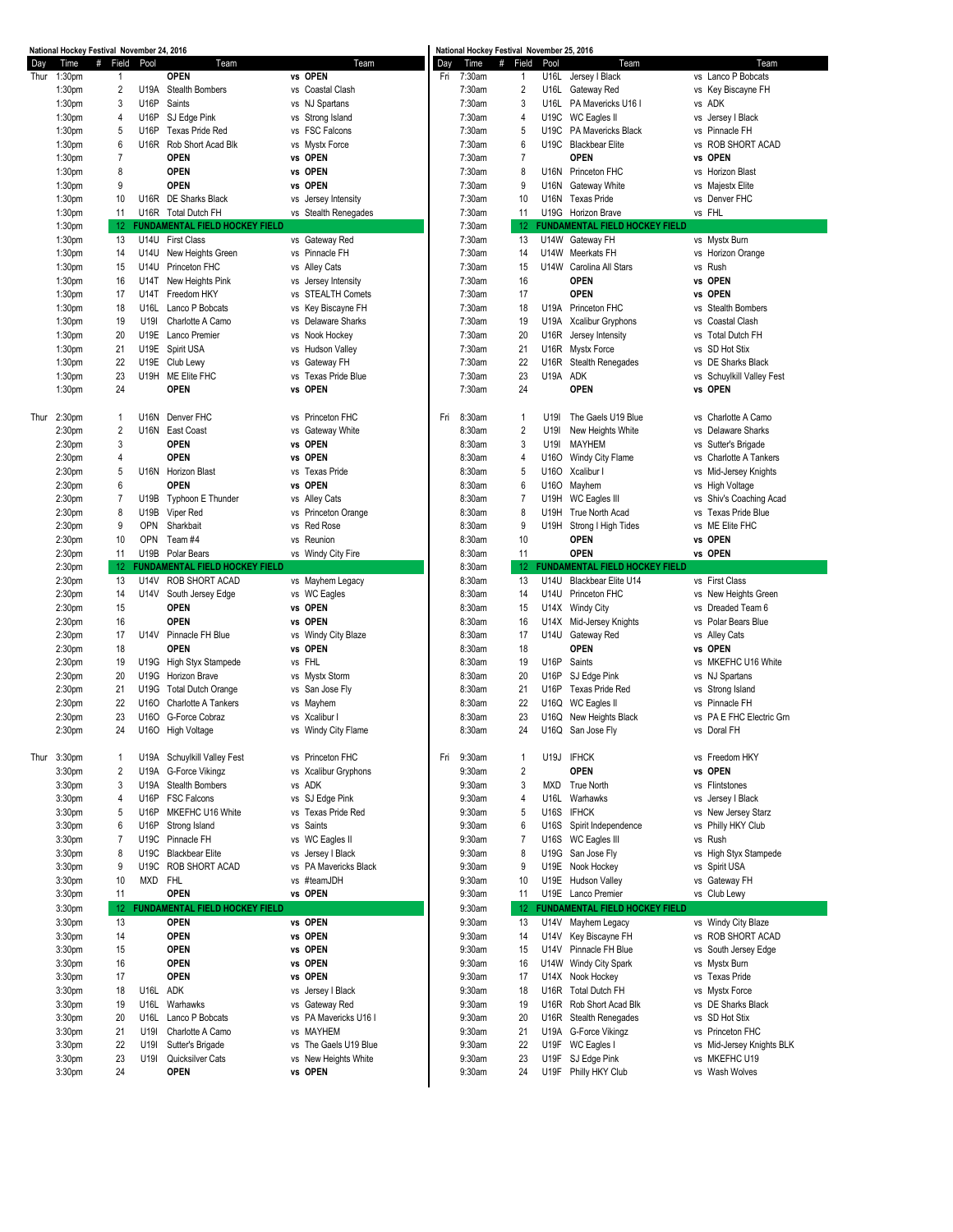|      | National Hockey Festival November 24, 2016 |                 |              |                                       |                       |     |        | National Hockey Festival November 25, 2016 |                 |                                       |           |                           |
|------|--------------------------------------------|-----------------|--------------|---------------------------------------|-----------------------|-----|--------|--------------------------------------------|-----------------|---------------------------------------|-----------|---------------------------|
| Day  | #<br>Time                                  | Field           | Pool         | Team                                  | Team                  | Day | Time   | #<br>Field                                 | Pool            | Team                                  |           | Team                      |
| Thur | 1:30pm                                     | 1               |              | <b>OPEN</b>                           | vs OPEN               | Fri | 7:30am | 1                                          | U16L            | Jersey I Black                        |           | vs Lanco P Bobcats        |
|      | 1:30pm                                     | 2               | U19A         | <b>Stealth Bombers</b>                | vs Coastal Clash      |     | 7:30am | $\overline{c}$                             | U16L            | Gateway Red                           |           | vs Key Biscayne FH        |
|      | 1:30 <sub>pm</sub>                         | 3               | U16P         | Saints                                | vs NJ Spartans        |     | 7:30am | 3                                          | U16L            | PA Mavericks U16 I                    |           | vs ADK                    |
|      | 1:30 <sub>pm</sub>                         | 4               | U16P         | SJ Edge Pink                          | vs Strong Island      |     | 7:30am | 4                                          | U19C            | <b>WC Eagles II</b>                   |           | vs Jersey   Black         |
|      | 1:30 <sub>pm</sub>                         | 5               | U16P         | <b>Texas Pride Red</b>                | vs FSC Falcons        |     | 7:30am | 5                                          | U19C            | PA Mavericks Black                    |           | vs Pinnacle FH            |
|      | 1:30 <sub>pm</sub>                         | 6               | U16R         | Rob Short Acad Blk                    | vs Mystx Force        |     | 7:30am | 6                                          | U19C            | <b>Blackbear Elite</b>                |           | vs ROB SHORT ACAD         |
|      |                                            |                 |              |                                       |                       |     |        |                                            |                 |                                       |           |                           |
|      | 1:30 <sub>pm</sub>                         | $\overline{7}$  |              | <b>OPEN</b>                           | vs OPEN               |     | 7:30am | 7                                          |                 | <b>OPEN</b>                           |           | vs OPEN                   |
|      | 1:30 <sub>pm</sub>                         | 8               |              | <b>OPEN</b>                           | vs OPEN               |     | 7:30am | 8                                          |                 | U16N Princeton FHC                    |           | vs Horizon Blast          |
|      | 1:30 <sub>pm</sub>                         | 9               |              | <b>OPEN</b>                           | vs OPEN               |     | 7:30am | 9                                          | <b>U16N</b>     | Gateway White                         |           | vs Majestx Elite          |
|      | 1:30 <sub>pm</sub>                         | 10              |              | U16R DE Sharks Black                  | vs Jersey Intensity   |     | 7:30am | 10                                         | U16N            | <b>Texas Pride</b>                    |           | vs Denver FHC             |
|      | 1:30 <sub>pm</sub>                         | 11              |              | U16R Total Dutch FH                   | vs Stealth Renegades  |     | 7:30am | 11                                         | U19G            | <b>Horizon Brave</b>                  |           | vs FHL                    |
|      | 1:30 <sub>pm</sub>                         | 12 <sup>°</sup> |              | <b>FUNDAMENTAL FIELD HOCKEY FIELD</b> |                       |     | 7:30am | 12                                         |                 | <b>FUNDAMENTAL FIELD HOCKEY FIELD</b> |           |                           |
|      | 1:30pm                                     | 13              | U14U         | <b>First Class</b>                    | vs Gateway Red        |     | 7:30am | 13                                         |                 | U14W Gateway FH                       |           | vs Mystx Burn             |
|      | 1:30 <sub>pm</sub>                         | 14              | U14U         | New Heights Green                     | vs Pinnacle FH        |     | 7:30am | 14                                         | <b>U14W</b>     | Meerkats FH                           |           | vs Horizon Orange         |
|      |                                            | 15              | U14U         | Princeton FHC                         |                       |     | 7:30am | 15                                         | <b>U14W</b>     | Carolina All Stars                    |           | vs Rush                   |
|      | 1:30 <sub>pm</sub>                         |                 |              |                                       | vs Alley Cats         |     |        |                                            |                 |                                       |           |                           |
|      | 1:30 <sub>pm</sub>                         | 16              | U14T         | New Heights Pink                      | vs Jersey Intensity   |     | 7:30am | 16                                         |                 | <b>OPEN</b>                           |           | vs OPEN                   |
|      | 1:30 <sub>pm</sub>                         | 17              | U14T         | Freedom HKY                           | vs STEALTH Comets     |     | 7:30am | 17                                         |                 | <b>OPEN</b>                           |           | vs OPEN                   |
|      | 1:30 <sub>pm</sub>                         | 18              | U16L         | Lanco P Bobcats                       | vs Key Biscayne FH    |     | 7:30am | 18                                         | U19A            | Princeton FHC                         |           | vs Stealth Bombers        |
|      | 1:30 <sub>pm</sub>                         | 19              | U19I         | Charlotte A Camo                      | vs Delaware Sharks    |     | 7:30am | 19                                         | U19A            | <b>Xcalibur Gryphons</b>              |           | vs Coastal Clash          |
|      | 1:30 <sub>pm</sub>                         | 20              | U19E         | Lanco Premier                         | vs Nook Hockey        |     | 7:30am | 20                                         | U16R            | Jersey Intensity                      |           | vs Total Dutch FH         |
|      | 1:30 <sub>pm</sub>                         | 21              |              | U19E Spirit USA                       | vs Hudson Valley      |     | 7:30am | 21                                         | U16R            | Mystx Force                           |           | vs SD Hot Stix            |
|      | 1:30 <sub>pm</sub>                         | 22              |              | U19E Club Lewy                        | vs Gateway FH         |     | 7:30am | 22                                         | U16R            | Stealth Renegades                     |           | vs DE Sharks Black        |
|      | 1:30 <sub>pm</sub>                         | 23              |              | U19H ME Elite FHC                     | vs Texas Pride Blue   |     | 7:30am | 23                                         | U19A            | ADK                                   |           | vs Schuylkill Valley Fest |
|      |                                            | 24              |              | <b>OPEN</b>                           | vs OPEN               |     |        | 24                                         |                 | <b>OPEN</b>                           |           |                           |
|      | 1:30 <sub>pm</sub>                         |                 |              |                                       |                       |     | 7:30am |                                            |                 |                                       |           | vs OPEN                   |
|      |                                            |                 |              |                                       |                       |     |        |                                            |                 |                                       |           |                           |
| Thur | 2:30 <sub>pm</sub>                         | $\overline{1}$  | U16N         | Denver FHC                            | vs Princeton FHC      | Fri | 8:30am | 1                                          | U <sub>19</sub> | The Gaels U19 Blue                    |           | vs Charlotte A Camo       |
|      | 2:30pm                                     | $\overline{c}$  |              | U16N East Coast                       | vs Gateway White      |     | 8:30am | $\overline{c}$                             | U19I            | New Heights White                     |           | vs Delaware Sharks        |
|      | 2:30pm                                     | 3               |              | <b>OPEN</b>                           | vs OPEN               |     | 8:30am | 3                                          | U19I            | MAYHEM                                |           | vs Sutter's Brigade       |
|      | 2:30pm                                     | 4               |              | <b>OPEN</b>                           | vs OPEN               |     | 8:30am | 4                                          | U160            | Windy City Flame                      |           | vs Charlotte A Tankers    |
|      | 2:30pm                                     | 5               |              | U16N Horizon Blast                    | vs Texas Pride        |     | 8:30am | 5                                          | U160            | Xcalibur I                            |           | vs Mid-Jersey Knights     |
|      | 2:30pm                                     | 6               |              | <b>OPEN</b>                           | vs OPEN               |     | 8:30am | 6                                          | U160            | Mayhem                                |           | vs High Voltage           |
|      |                                            |                 |              |                                       |                       |     |        |                                            |                 |                                       |           |                           |
|      | 2:30pm                                     | $\overline{7}$  | U19B         | Typhoon E Thunder                     | vs Alley Cats         |     | 8:30am | 7                                          | U19H            | WC Eagles III                         |           | vs Shiv's Coaching Acad   |
|      | 2:30pm                                     | 8               | U19B         | Viper Red                             | vs Princeton Orange   |     | 8:30am | 8                                          | U19H            | True North Acad                       | <b>VS</b> | <b>Texas Pride Blue</b>   |
|      | 2:30pm                                     | 9               | <b>OPN</b>   | Sharkbait                             | vs Red Rose           |     | 8:30am | 9                                          | U19H            | Strong I High Tides                   |           | vs ME Elite FHC           |
|      | 2:30pm                                     | 10              | OPN          | Team #4                               | vs Reunion            |     | 8:30am | 10                                         |                 | <b>OPEN</b>                           |           | vs OPEN                   |
|      | 2:30pm                                     | 11              | U19B         | Polar Bears                           | vs Windy City Fire    |     | 8:30am | 11                                         |                 | <b>OPEN</b>                           |           | vs OPEN                   |
|      | 2:30pm                                     | 12              |              | FUNDAMENTAL FIELD HOCKEY FIELD        |                       |     | 8:30am | 12                                         |                 | <b>FUNDAMENTAL FIELD HOCKEY FIELD</b> |           |                           |
|      | 2:30pm                                     | 13              | U14V         | ROB SHORT ACAD                        | vs Mayhem Legacy      |     | 8:30am | 13                                         | U14U            | Blackbear Elite U14                   |           | vs First Class            |
|      | 2:30pm                                     | 14              | U14V         | South Jersey Edge                     | vs WC Eagles          |     | 8:30am | 14                                         | U14U            | Princeton FHC                         |           | vs New Heights Green      |
|      | 2:30 <sub>pm</sub>                         | 15              |              | <b>OPEN</b>                           | vs OPEN               |     | 8:30am | 15                                         | U14X            | <b>Windy City</b>                     |           | vs Dreaded Team 6         |
|      | 2:30pm                                     | 16              |              | <b>OPEN</b>                           | vs OPEN               |     | 8:30am | 16                                         | U14X            | Mid-Jersey Knights                    |           | vs Polar Bears Blue       |
|      | 2:30pm                                     | 17              | U14V         | Pinnacle FH Blue                      | vs Windy City Blaze   |     | 8:30am | 17                                         | U14U            | Gateway Red                           |           | vs Alley Cats             |
|      |                                            |                 |              | <b>OPEN</b>                           | vs OPEN               |     | 8:30am | 18                                         |                 | <b>OPEN</b>                           |           | vs OPEN                   |
|      | 2:30pm                                     | 18              |              |                                       |                       |     |        |                                            |                 |                                       |           |                           |
|      | 2:30pm                                     | 19              | U19G         | High Styx Stampede                    | vs FHL                |     | 8:30am | 19                                         | <b>U16P</b>     | Saints                                |           | vs MKEFHC U16 White       |
|      | 2:30pm                                     | 20              | U19G         | Horizon Brave                         | vs Mystx Storm        |     | 8:30am | 20                                         | U16P            | SJ Edge Pink                          |           | vs NJ Spartans            |
|      | 2:30pm                                     | 21              | U19G         | <b>Total Dutch Orange</b>             | vs San Jose Fly       |     | 8:30am | 21                                         | U16P            | <b>Texas Pride Red</b>                |           | vs Strong Island          |
|      | 2:30pm                                     | 22              | U160         | Charlotte A Tankers                   | vs Mayhem             |     | 8:30am | 22                                         | U16Q            | WC Eagles II                          |           | vs Pinnacle FH            |
|      | 2:30pm                                     | 23              | U160         | G-Force Cobraz                        | vs Xcalibur I         |     | 8:30am | 23                                         | U16Q            | New Heights Black                     | VS        | PA E FHC Electric Grn     |
|      | 2:30pm                                     | 24              |              | U160 High Voltage                     | vs Windy City Flame   |     | 8:30am | 24                                         |                 | U16Q San Jose Fly                     |           | vs Doral FH               |
|      |                                            |                 |              |                                       |                       |     |        |                                            |                 |                                       |           |                           |
| Thur | 3:30pm                                     | $\mathbf{1}$    |              | U19A Schuylkill Valley Fest           | vs Princeton FHC      | Fri | 9:30am | 1                                          | U19J            | <b>IFHCK</b>                          |           | vs Freedom HKY            |
|      | 3:30pm                                     | 2               | U19A         | G-Force Vikingz                       | vs Xcalibur Gryphons  |     | 9:30am | 2                                          |                 | <b>OPEN</b>                           |           | vs OPEN                   |
|      |                                            | 3               |              | Stealth Bombers                       | vs ADK                |     | 9:30am | 3                                          |                 | <b>True North</b>                     |           | vs Flintstones            |
|      | 3:30 <sub>pm</sub>                         | 4               | U19A<br>U16P | <b>FSC Falcons</b>                    |                       |     | 9:30am | 4                                          | MXD<br>U16L     | Warhawks                              |           |                           |
|      | 3:30pm                                     |                 |              |                                       | vs SJ Edge Pink       |     |        |                                            |                 |                                       |           | vs Jersey   Black         |
|      | 3:30pm                                     | 5               | U16P         | MKEFHC U16 White                      | vs Texas Pride Red    |     | 9:30am | 5                                          | U16S            | <b>IFHCK</b>                          |           | vs New Jersey Starz       |
|      | 3:30pm                                     | 6               | U16P         | Strong Island                         | vs Saints             |     | 9:30am | 6                                          | U16S            | Spirit Independence                   |           | vs Philly HKY Club        |
|      | 3:30pm                                     | 7               | U19C         | Pinnacle FH                           | vs WC Eagles II       |     | 9:30am | 7                                          | U16S            | WC Eagles III                         |           | vs Rush                   |
|      | 3:30 <sub>pm</sub>                         | 8               | U19C         | <b>Blackbear Elite</b>                | vs Jersey   Black     |     | 9:30am | 8                                          | U19G            | San Jose Fly                          |           | vs High Styx Stampede     |
|      | 3:30pm                                     | 9               | U19C         | ROB SHORT ACAD                        | vs PA Mavericks Black |     | 9:30am | 9                                          | U19E            | Nook Hockey                           |           | vs Spirit USA             |
|      | 3:30 <sub>pm</sub>                         | 10              | <b>MXD</b>   | FHL                                   | vs #teamJDH           |     | 9:30am | 10                                         | U19E            | Hudson Valley                         |           | vs Gateway FH             |
|      | 3:30pm                                     | 11              |              | <b>OPEN</b>                           | vs OPEN               |     | 9:30am | 11                                         |                 | U19E Lanco Premier                    |           | vs Club Lewy              |
|      | 3:30 <sub>pm</sub>                         | 12 <sub>2</sub> |              | <b>FUNDAMENTAL FIELD HOCKEY FIELD</b> |                       |     | 9:30am | 12 <sup>2</sup>                            |                 | <b>FUNDAMENTAL FIELD HOCKEY FIELD</b> |           |                           |
|      |                                            |                 |              |                                       |                       |     |        |                                            |                 |                                       |           |                           |
|      | 3:30pm                                     | 13              |              | <b>OPEN</b>                           | vs OPEN               |     | 9:30am | 13                                         | U14V            | Mayhem Legacy                         |           | vs Windy City Blaze       |
|      | 3:30 <sub>pm</sub>                         | 14              |              | <b>OPEN</b>                           | vs OPEN               |     | 9:30am | 14                                         | U14V            | Key Biscayne FH                       |           | vs ROB SHORT ACAD         |
|      | 3:30 <sub>pm</sub>                         | 15              |              | <b>OPEN</b>                           | vs OPEN               |     | 9:30am | 15                                         | U14V            | Pinnacle FH Blue                      |           | vs South Jersey Edge      |
|      | 3:30pm                                     | 16              |              | <b>OPEN</b>                           | vs OPEN               |     | 9:30am | 16                                         | U14W            | Windy City Spark                      |           | vs Mystx Burn             |
|      | 3:30pm                                     | 17              |              | <b>OPEN</b>                           | vs OPEN               |     | 9:30am | 17                                         | U14X            | Nook Hockey                           |           | vs Texas Pride            |
|      | 3:30 <sub>pm</sub>                         | 18              | U16L         | <b>ADK</b>                            | vs Jersey   Black     |     | 9:30am | 18                                         | U16R            | <b>Total Dutch FH</b>                 |           | vs Mystx Force            |
|      | 3:30pm                                     | 19              | U16L         | Warhawks                              | vs Gateway Red        |     | 9:30am | 19                                         | U16R            | Rob Short Acad Blk                    |           | vs DE Sharks Black        |
|      | 3:30pm                                     | 20              | U16L         | Lanco P Bobcats                       | vs PA Mavericks U16 I |     | 9:30am | 20                                         | U16R            | <b>Stealth Renegades</b>              |           | vs SD Hot Stix            |
|      | 3:30pm                                     | 21              | U19I         | Charlotte A Camo                      | vs MAYHEM             |     | 9:30am | 21                                         | U19A            | G-Force Vikingz                       |           | vs Princeton FHC          |
|      |                                            |                 |              |                                       |                       |     |        |                                            |                 |                                       |           |                           |
|      | 3:30pm                                     | 22              | U19I         | Sutter's Brigade                      | vs The Gaels U19 Blue |     | 9:30am | 22                                         | U19F            | WC Eagles I                           |           | vs Mid-Jersey Knights BLK |
|      | 3:30pm                                     | 23              | U19I         | Quicksilver Cats                      | vs New Heights White  |     | 9:30am | 23                                         | U19F            | SJ Edge Pink                          |           | vs MKEFHC U19             |
|      | 3:30 <sub>pm</sub>                         | 24              |              | <b>OPEN</b>                           | vs OPEN               |     | 9:30am | 24                                         |                 | U19F Philly HKY Club                  |           | vs Wash Wolves            |
|      |                                            |                 |              |                                       |                       |     |        |                                            |                 |                                       |           |                           |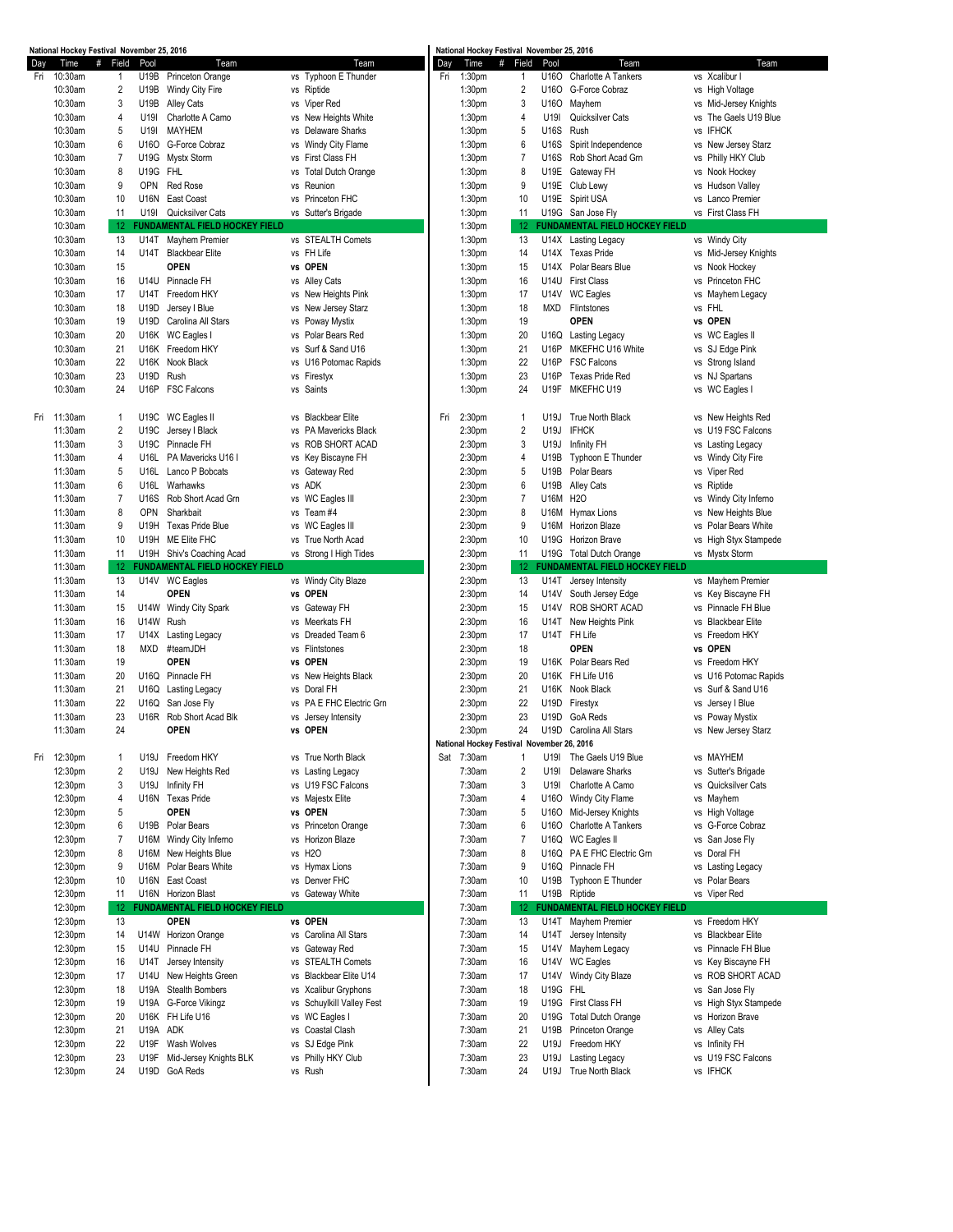|     | National Hockey Festival November 25, 2016 |                |             |                                       |                                 |     |                    | National Hockey Festival November 25, 2016 |          |                                       |                       |
|-----|--------------------------------------------|----------------|-------------|---------------------------------------|---------------------------------|-----|--------------------|--------------------------------------------|----------|---------------------------------------|-----------------------|
| Day | Time                                       | #<br>Field     | Pool        | Team                                  | Team                            | Day | Time               | #<br>Field                                 | Pool     | Team                                  | Team                  |
|     | Fri 10:30am                                | 1              | U19B        | Princeton Orange                      | vs Typhoon E Thunder            |     | Fri 1:30pm         | 1                                          |          | U16O Charlotte A Tankers              | vs Xcalibur I         |
|     | 10:30am                                    | $\overline{2}$ | U19B        | Windy City Fire                       | vs Riptide                      |     | 1:30pm             | $\overline{2}$                             | U160     | G-Force Cobraz                        | vs High Voltage       |
|     | 10:30am                                    | 3              | U19B        | Alley Cats                            | vs Viper Red                    |     | 1:30pm             | 3                                          | U160     | Mayhem                                | vs Mid-Jersey Knights |
|     |                                            |                |             |                                       |                                 |     |                    |                                            |          |                                       |                       |
|     | 10:30am                                    | 4              | U19I        | Charlotte A Camo                      | vs New Heights White            |     | 1:30 <sub>pm</sub> | 4                                          | U19I     | Quicksilver Cats                      | vs The Gaels U19 Blue |
|     | 10:30am                                    | 5              | U19I        | <b>MAYHEM</b>                         | vs Delaware Sharks              |     | 1:30 <sub>pm</sub> | 5                                          | U16S     | Rush                                  | vs IFHCK              |
|     | 10:30am                                    | 6              | U160        | G-Force Cobraz                        | vs Windy City Flame             |     | 1:30 <sub>pm</sub> | 6                                          | U16S     | Spirit Independence                   | vs New Jersey Starz   |
|     | 10:30am                                    | $\overline{7}$ | U19G        | Mystx Storm                           | First Class FH<br>vs            |     | 1:30pm             | $\overline{7}$                             | U16S     | Rob Short Acad Grn                    | vs Philly HKY Club    |
|     | 10:30am                                    | 8              | U19G        | <b>FHL</b>                            | <b>Total Dutch Orange</b><br>vs |     | 1:30 <sub>pm</sub> | 8                                          | U19E     | Gateway FH                            | vs Nook Hockey        |
|     |                                            |                |             |                                       |                                 |     |                    |                                            |          |                                       |                       |
|     | 10:30am                                    | 9              | OPN         | <b>Red Rose</b>                       | Reunion<br>vs                   |     | 1:30pm             | 9                                          | U19E     | Club Lewy                             | vs Hudson Valley      |
|     | 10:30am                                    | 10             | <b>U16N</b> | East Coast                            | vs Princeton FHC                |     | 1:30 <sub>pm</sub> | 10                                         |          | U19E Spirit USA                       | vs Lanco Premier      |
|     | 10:30am                                    | 11             | U19I        | Quicksilver Cats                      | vs Sutter's Brigade             |     | 1:30 <sub>pm</sub> | 11                                         |          | U19G San Jose Fly                     | vs First Class FH     |
|     | 10:30am                                    | 12             |             | <b>FUNDAMENTAL FIELD HOCKEY FIELD</b> |                                 |     | 1:30pm             | -12                                        |          | <b>FUNDAMENTAL FIELD HOCKEY FIELD</b> |                       |
|     | 10:30am                                    | 13             | U14T        | Mayhem Premier                        | vs STEALTH Comets               |     | 1:30pm             | 13                                         |          | U14X Lasting Legacy                   | vs Windy City         |
|     |                                            |                |             |                                       |                                 |     |                    |                                            |          |                                       |                       |
|     | 10:30am                                    | 14             | U14T        | <b>Blackbear Elite</b>                | vs FH Life                      |     | 1:30pm             | 14                                         |          | U14X Texas Pride                      | vs Mid-Jersey Knights |
|     | 10:30am                                    | 15             |             | <b>OPEN</b>                           | vs OPEN                         |     | 1:30pm             | 15                                         | U14X     | Polar Bears Blue                      | vs Nook Hockey        |
|     | 10:30am                                    | 16             | U14U        | Pinnacle FH                           | vs Alley Cats                   |     | 1:30pm             | 16                                         |          | U14U First Class                      | vs Princeton FHC      |
|     | 10:30am                                    | 17             | U14T        | Freedom HKY                           | vs New Heights Pink             |     | 1:30 <sub>pm</sub> | 17                                         |          | U14V WC Eagles                        | vs Mayhem Legacy      |
|     | 10:30am                                    | 18             | U19D        | Jersey I Blue                         | vs New Jersey Starz             |     | 1:30 <sub>pm</sub> | 18                                         | MXD      | Flintstones                           | vs FHL                |
|     |                                            |                |             |                                       |                                 |     |                    |                                            |          |                                       |                       |
|     | 10:30am                                    | 19             | U19D        | Carolina All Stars                    | vs Poway Mystix                 |     | 1:30 <sub>pm</sub> | 19                                         |          | <b>OPEN</b>                           | vs OPEN               |
|     | 10:30am                                    | 20             | U16K        | WC Eagles I                           | Polar Bears Red<br>vs           |     | 1:30pm             | 20                                         | U16Q     | Lasting Legacy                        | vs WC Eagles II       |
|     | 10:30am                                    | 21             | U16K        | Freedom HKY                           | vs Surf & Sand U16              |     | 1:30pm             | 21                                         | U16P     | MKEFHC U16 White                      | vs SJ Edge Pink       |
|     | 10:30am                                    | 22             | U16K        | Nook Black                            | U16 Potomac Rapids<br>vs        |     | 1:30 <sub>pm</sub> | 22                                         | U16P     | <b>FSC Falcons</b>                    | vs Strong Island      |
|     | 10:30am                                    | 23             | U19D        | Rush                                  | vs Firestyx                     |     | 1:30 <sub>pm</sub> | 23                                         | U16P     | <b>Texas Pride Red</b>                | vs NJ Spartans        |
|     |                                            |                |             |                                       |                                 |     |                    |                                            |          |                                       |                       |
|     | 10:30am                                    | 24             | U16P        | <b>FSC Falcons</b>                    | vs Saints                       |     | 1:30 <sub>pm</sub> | 24                                         | U19F     | MKEFHC U19                            | vs WC Eagles I        |
|     |                                            |                |             |                                       |                                 |     |                    |                                            |          |                                       |                       |
|     | Fri 11:30am                                | $\mathbf{1}$   | U19C        | WC Eagles II                          | <b>Blackbear Elite</b><br>vs    | Fri | 2:30pm             | -1                                         | U19J     | True North Black                      | vs New Heights Red    |
|     | 11:30am                                    | $\overline{2}$ | U19C        | Jersey I Black                        | PA Mavericks Black<br>vs        |     | 2:30pm             | $\overline{\mathbf{c}}$                    | U19J     | <b>IFHCK</b>                          | vs U19 FSC Falcons    |
|     |                                            |                |             |                                       |                                 |     |                    |                                            |          |                                       |                       |
|     | 11:30am                                    | 3              | U19C        | Pinnacle FH                           | vs ROB SHORT ACAD               |     | 2:30pm             | 3                                          | U19J     | Infinity FH                           | vs Lasting Legacy     |
|     | 11:30am                                    | 4              | U16L        | PA Mavericks U16 I                    | vs Key Biscayne FH              |     | 2:30pm             | 4                                          | U19B     | Typhoon E Thunder                     | vs Windy City Fire    |
|     | 11:30am                                    | 5              | U16L        | Lanco P Bobcats                       | vs Gateway Red                  |     | 2:30 <sub>pm</sub> | 5                                          | U19B     | Polar Bears                           | vs Viper Red          |
|     | 11:30am                                    | 6              | U16L        | Warhawks                              | vs ADK                          |     | 2:30 <sub>pm</sub> | 6                                          | U19B     | <b>Alley Cats</b>                     | vs Riptide            |
|     | 11:30am                                    | $\overline{7}$ | U16S        | Rob Short Acad Grn                    | vs WC Eagles III                |     | 2:30pm             | $\overline{7}$                             | U16M H2O |                                       | vs Windy City Inferno |
|     |                                            |                | <b>OPN</b>  |                                       |                                 |     |                    | 8                                          |          |                                       |                       |
|     | 11:30am                                    | 8              |             | Sharkbait                             | Team #4<br>vs                   |     | 2:30 <sub>pm</sub> |                                            | U16M     | Hymax Lions                           | vs New Heights Blue   |
|     | 11:30am                                    | 9              | U19H        | <b>Texas Pride Blue</b>               | vs WC Eagles III                |     | 2:30 <sub>pm</sub> | 9                                          | U16M     | <b>Horizon Blaze</b>                  | vs Polar Bears White  |
|     | 11:30am                                    | 10             | U19H        | ME Elite FHC                          | True North Acad<br>vs           |     | 2:30 <sub>pm</sub> | 10                                         |          | U19G Horizon Brave                    | vs High Styx Stampede |
|     | 11:30am                                    | 11             |             | U19H Shiv's Coaching Acad             | vs Strong I High Tides          |     | 2:30 <sub>pm</sub> | 11                                         |          | U19G Total Dutch Orange               | vs Mystx Storm        |
|     | 11:30am                                    | -12            |             | <b>FUNDAMENTAL FIELD HOCKEY FIELD</b> |                                 |     | 2:30pm             | -12                                        |          | <b>FUNDAMENTAL FIELD HOCKEY FIELD</b> |                       |
|     |                                            |                |             |                                       |                                 |     |                    |                                            |          |                                       |                       |
|     | 11:30am                                    | 13             |             | U14V WC Eagles                        | vs Windy City Blaze             |     | 2:30pm             | 13                                         | U14T     | Jersey Intensity                      | vs Mayhem Premier     |
|     | 11:30am                                    | 14             |             | <b>OPEN</b>                           | vs OPEN                         |     | 2:30pm             | 14                                         | U14V     | South Jersey Edge                     | vs Key Biscayne FH    |
|     | 11:30am                                    | 15             | U14W        | Windy City Spark                      | Gateway FH<br>vs                |     | 2:30pm             | 15                                         | U14V     | ROB SHORT ACAD                        | vs Pinnacle FH Blue   |
|     | 11:30am                                    | 16             | U14W        | Rush                                  | vs Meerkats FH                  |     | 2:30pm             | 16                                         | U14T     | New Heights Pink                      | vs Blackbear Elite    |
|     | 11:30am                                    | 17             | U14X        | Lasting Legacy                        | vs Dreaded Team 6               |     | 2:30pm             | 17                                         |          | U14T FH Life                          | vs Freedom HKY        |
|     |                                            |                |             |                                       | vs Flintstones                  |     |                    |                                            |          | <b>OPEN</b>                           | vs OPEN               |
|     | 11:30am                                    | 18             | <b>MXD</b>  | #teamJDH                              |                                 |     | 2:30pm             | 18                                         |          |                                       |                       |
|     | 11:30am                                    | 19             |             | <b>OPEN</b>                           | vs OPEN                         |     | 2:30pm             | 19                                         | U16K     | Polar Bears Red                       | vs Freedom HKY        |
|     | 11:30am                                    | 20             | U16Q        | Pinnacle FH                           | vs New Heights Black            |     | 2:30pm             | 20                                         |          | U16K FH Life U16                      | vs U16 Potomac Rapids |
|     | 11:30am                                    | 21             | U16Q        | Lasting Legacy                        | Doral FH<br>vs                  |     | 2:30 <sub>pm</sub> | 21                                         |          | U16K Nook Black                       | vs Surf & Sand U16    |
|     | 11:30am                                    | 22             | U16Q        | San Jose Flv                          | vs PA E FHC Electric Grn        |     | 2:30 <sub>pm</sub> | 22                                         |          | U19D Firestyx                         | vs Jersey I Blue      |
|     |                                            |                |             |                                       |                                 |     |                    |                                            |          |                                       |                       |
|     | 11:30am                                    | 23             | U16R        | Rob Short Acad Blk                    | Jersey Intensity<br>vs          |     | 2:30 <sub>pm</sub> | 23                                         | U19D     | GoA Reds                              | vs Poway Mystix       |
|     | 11:30am                                    | 24             |             | <b>OPEN</b>                           | vs OPEN                         |     | 2:30 <sub>pm</sub> | 24                                         |          | U19D Carolina All Stars               | vs New Jersey Starz   |
|     |                                            |                |             |                                       |                                 |     |                    | National Hockey Festival November 26, 2016 |          |                                       |                       |
|     | Fri 12:30pm                                | 1              | U19J        | Freedom HKY                           | vs True North Black             |     | Sat 7:30am         | 1                                          |          | U19I The Gaels U19 Blue               | vs MAYHEM             |
|     | 12:30pm                                    | $\overline{2}$ | U19J        | New Heights Red                       | vs Lasting Legacy               |     | 7:30am             | $\overline{2}$                             | U19I     | <b>Delaware Sharks</b>                | vs Sutter's Brigade   |
|     |                                            |                |             |                                       |                                 |     |                    |                                            |          |                                       |                       |
|     | 12:30pm                                    | 3              | U19J        | Infinity FH                           | vs U19 FSC Falcons              |     | 7:30am             | 3                                          | U19I     | Charlotte A Camo                      | vs Quicksilver Cats   |
|     | 12:30pm                                    | 4              | U16N        | <b>Texas Pride</b>                    | vs Majestx Elite                |     | 7:30am             | 4                                          | U160     | Windy City Flame                      | vs Mayhem             |
|     | 12:30pm                                    | 5              |             | <b>OPEN</b>                           | vs OPEN                         |     | 7:30am             | 5                                          | U160     | Mid-Jersey Knights                    | vs High Voltage       |
|     | 12:30pm                                    | 6              | U19B        | Polar Bears                           | vs Princeton Orange             |     | 7:30am             | 6                                          | U160     | Charlotte A Tankers                   | vs G-Force Cobraz     |
|     |                                            | $\overline{7}$ | U16M        |                                       | vs Horizon Blaze                |     |                    | $\overline{7}$                             |          | WC Eagles II                          | vs San Jose Fly       |
|     | 12:30pm                                    |                |             | Windy City Inferno                    |                                 |     | 7:30am             |                                            | U16Q     |                                       |                       |
|     | 12:30pm                                    | 8              | U16M        | New Heights Blue                      | vs H2O                          |     | 7:30am             | 8                                          |          | U16Q PA E FHC Electric Gm             | vs Doral FH           |
|     | 12:30pm                                    | 9              | U16M        | Polar Bears White                     | vs Hymax Lions                  |     | 7:30am             | 9                                          | U16Q     | Pinnacle FH                           | vs Lasting Legacy     |
|     | 12:30pm                                    | 10             | U16N        | East Coast                            | vs Denver FHC                   |     | 7:30am             | 10                                         |          | U19B Typhoon E Thunder                | vs Polar Bears        |
|     | 12:30pm                                    | 11             |             | U16N Horizon Blast                    | vs Gateway White                |     | 7:30am             | 11                                         |          | U19B Riptide                          | vs Viper Red          |
|     |                                            |                |             |                                       |                                 |     |                    |                                            |          |                                       |                       |
|     | 12:30pm                                    | 12             |             | <b>FUNDAMENTAL FIELD HOCKEY FIELD</b> |                                 |     | 7:30am             | 12                                         |          | <b>FUNDAMENTAL FIELD HOCKEY FIELD</b> |                       |
|     | 12:30pm                                    | 13             |             | <b>OPEN</b>                           | vs OPEN                         |     | 7:30am             | 13                                         |          | U14T Mayhem Premier                   | vs Freedom HKY        |
|     | 12:30pm                                    | 14             | U14W        | Horizon Orange                        | vs Carolina All Stars           |     | 7:30am             | 14                                         | U14T     | Jersey Intensity                      | vs Blackbear Elite    |
|     | 12:30pm                                    | 15             | U14U        | Pinnacle FH                           | vs Gateway Red                  |     | 7:30am             | 15                                         | U14V     | Mayhem Legacy                         | vs Pinnacle FH Blue   |
|     | 12:30pm                                    |                | U14T        |                                       | vs STEALTH Comets               |     |                    |                                            | U14V     |                                       |                       |
|     |                                            | 16             |             | Jersey Intensity                      |                                 |     | 7:30am             | 16                                         |          | <b>WC Eagles</b>                      | vs Key Biscayne FH    |
|     | 12:30pm                                    | 17             | U14U        | New Heights Green                     | vs Blackbear Elite U14          |     | 7:30am             | 17                                         | U14V     | Windy City Blaze                      | vs ROB SHORT ACAD     |
|     | 12:30pm                                    | 18             | U19A        | Stealth Bombers                       | vs Xcalibur Gryphons            |     | 7:30am             | 18                                         | U19G FHL |                                       | vs San Jose Fly       |
|     | 12:30pm                                    | 19             | U19A        | G-Force Vikingz                       | vs Schuylkill Valley Fest       |     | 7:30am             | 19                                         | U19G     | First Class FH                        | vs High Styx Stampede |
|     | 12:30pm                                    | 20             | U16K        | FH Life U16                           | WC Eagles I<br>vs               |     | 7:30am             | 20                                         | U19G     | <b>Total Dutch Orange</b>             | vs Horizon Brave      |
|     |                                            |                |             |                                       |                                 |     |                    |                                            |          |                                       |                       |
|     | 12:30pm                                    | 21             | U19A        | ADK                                   | vs Coastal Clash                |     | 7:30am             | 21                                         | U19B     | Princeton Orange                      | vs Alley Cats         |
|     | 12:30pm                                    | 22             | U19F        | Wash Wolves                           | vs SJ Edge Pink                 |     | 7:30am             | 22                                         | U19J     | Freedom HKY                           | vs Infinity FH        |
|     | 12:30pm                                    | 23             | U19F        | Mid-Jersey Knights BLK                | vs Philly HKY Club              |     | 7:30am             | 23                                         | U19J     | Lasting Legacy                        | vs U19 FSC Falcons    |
|     | 12:30pm                                    | 24             | U19D        | <b>GoA Reds</b>                       | vs Rush                         |     | 7:30am             | 24                                         |          | U19J True North Black                 | vs IFHCK              |
|     |                                            |                |             |                                       |                                 |     |                    |                                            |          |                                       |                       |
|     |                                            |                |             |                                       |                                 |     |                    |                                            |          |                                       |                       |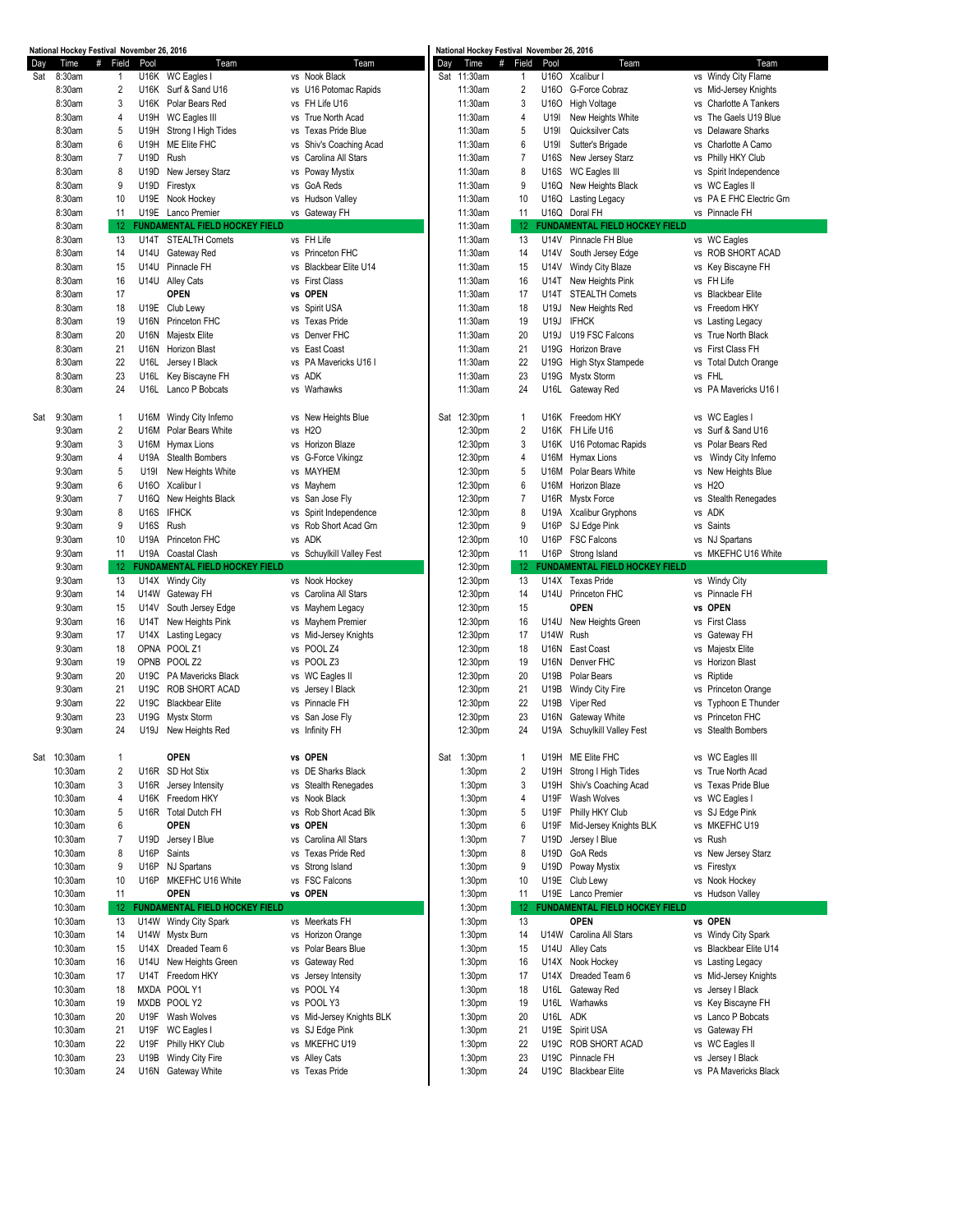|     | National Hockey Festival November 26, 2016 |                   |             |                                       |                           |     | National Hockey Festival November 26, 2016 |                |             |                                       |                          |
|-----|--------------------------------------------|-------------------|-------------|---------------------------------------|---------------------------|-----|--------------------------------------------|----------------|-------------|---------------------------------------|--------------------------|
| Day | Time                                       | #<br>Field        | Pool        | Team                                  | Team                      | Day | Time                                       | # Field        | Pool        | Team                                  | Team                     |
| Sat | 8:30am                                     | $\mathbf{1}$      |             | U16K WC Eagles I                      | vs Nook Black             |     | Sat 11:30am                                | 1              | U160        | Xcalibur I                            | vs Windy City Flame      |
|     | 8:30am                                     | $\overline{2}$    | U16K        | Surf & Sand U16                       | vs U16 Potomac Rapids     |     | 11:30am                                    | $\overline{2}$ | U160        | G-Force Cobraz                        | vs Mid-Jersey Knights    |
|     | 8:30am                                     | 3                 | U16K        | Polar Bears Red                       | vs FH Life U16            |     | 11:30am                                    | 3              | U160        | <b>High Voltage</b>                   | vs Charlotte A Tankers   |
|     | 8:30am                                     | 4                 | U19H        | WC Eagles III                         | vs True North Acad        |     | 11:30am                                    | 4              | U19I        | New Heights White                     | vs The Gaels U19 Blue    |
|     | 8:30am                                     | 5                 | U19H        | Strong I High Tides                   | vs Texas Pride Blue       |     | 11:30am                                    | 5              | U19I        | Quicksilver Cats                      | vs Delaware Sharks       |
|     |                                            | 6                 |             | ME Elite FHC                          |                           |     |                                            |                |             |                                       |                          |
|     | 8:30am                                     |                   | U19H        |                                       | vs Shiv's Coaching Acad   |     | 11:30am                                    | 6              | U19I        | Sutter's Brigade                      | vs Charlotte A Camo      |
|     | 8:30am                                     | $\overline{7}$    | U19D        | Rush                                  | Carolina All Stars<br>vs  |     | 11:30am                                    | $\overline{7}$ | U16S        | New Jersey Starz                      | vs Philly HKY Club       |
|     | 8:30am                                     | 8                 | U19D        | New Jersey Starz                      | vs Poway Mystix           |     | 11:30am                                    | 8              | U16S        | WC Eagles III                         | vs Spirit Independence   |
|     | 8:30am                                     | 9                 | U19D        | Firestyx                              | vs GoA Reds               |     | 11:30am                                    | 9              | U16Q        | New Heights Black                     | vs WC Eagles II          |
|     | 8:30am                                     | 10                | U19E        | Nook Hockey                           | vs Hudson Valley          |     | 11:30am                                    | 10             | U16Q        | Lasting Legacy                        | vs PA E FHC Electric Grn |
|     | 8:30am                                     | 11                |             | U19E Lanco Premier                    | vs Gateway FH             |     | 11:30am                                    | 11             |             | U16Q Doral FH                         | vs Pinnacle FH           |
|     | 8:30am                                     | $12 \overline{ }$ |             | <b>FUNDAMENTAL FIELD HOCKEY FIELD</b> |                           |     | 11:30am                                    | 12             |             | <b>FUNDAMENTAL FIELD HOCKEY FIELD</b> |                          |
|     |                                            |                   |             |                                       |                           |     |                                            |                |             |                                       |                          |
|     | 8:30am                                     | 13                | U14T        | <b>STEALTH Comets</b>                 | vs FH Life                |     | 11:30am                                    | 13             | U14V        | Pinnacle FH Blue                      | vs WC Eagles             |
|     | 8:30am                                     | 14                | U14U        | Gateway Red                           | vs Princeton FHC          |     | 11:30am                                    | 14             | U14V        | South Jersey Edge                     | vs ROB SHORT ACAD        |
|     | 8:30am                                     | 15                | U14U        | Pinnacle FH                           | vs Blackbear Elite U14    |     | 11:30am                                    | 15             | U14V        | Windy City Blaze                      | vs Key Biscayne FH       |
|     | 8:30am                                     | 16                | U14U        | <b>Alley Cats</b>                     | vs First Class            |     | 11:30am                                    | 16             | U14T        | New Heights Pink                      | vs FH Life               |
|     | 8:30am                                     | 17                |             | <b>OPEN</b>                           | vs OPEN                   |     | 11:30am                                    | 17             | <b>U14T</b> | <b>STEALTH Comets</b>                 | vs Blackbear Elite       |
|     | 8:30am                                     | 18                | U19E        | Club Lewy                             | vs Spirit USA             |     | 11:30am                                    | 18             | U19J        | New Heights Red                       | vs Freedom HKY           |
|     |                                            |                   |             |                                       |                           |     |                                            |                |             |                                       |                          |
|     | 8:30am                                     | 19                | U16N        | Princeton FHC                         | vs Texas Pride            |     | 11:30am                                    | 19             | U19J        | <b>IFHCK</b>                          | vs Lasting Legacy        |
|     | 8:30am                                     | 20                | <b>U16N</b> | <b>Majestx Elite</b>                  | vs Denver FHC             |     | 11:30am                                    | 20             | U19J        | U19 FSC Falcons                       | vs True North Black      |
|     | 8:30am                                     | 21                | U16N        | Horizon Blast                         | vs East Coast             |     | 11:30am                                    | 21             | U19G        | Horizon Brave                         | vs First Class FH        |
|     | 8:30am                                     | 22                | U16L        | Jersey I Black                        | vs PA Mavericks U16 I     |     | 11:30am                                    | 22             | U19G        | <b>High Styx Stampede</b>             | vs Total Dutch Orange    |
|     | 8:30am                                     | 23                | U16L        | Key Biscayne FH                       | vs ADK                    |     | 11:30am                                    | 23             | U19G        | <b>Mystx Storm</b>                    | vs FHL                   |
|     | 8:30am                                     | 24                | U16L        | Lanco P Bobcats                       | vs Warhawks               |     | 11:30am                                    | 24             | U16L        | Gateway Red                           | vs PA Mavericks U16 I    |
|     |                                            |                   |             |                                       |                           |     |                                            |                |             |                                       |                          |
|     |                                            |                   |             |                                       |                           |     |                                            |                |             |                                       |                          |
| Sat | 9:30am                                     | $\mathbf{1}$      | U16M        | Windy City Inferno                    | vs New Heights Blue       |     | Sat 12:30pm                                | $\mathbf{1}$   | U16K        | Freedom HKY                           | vs WC Eagles I           |
|     | 9:30am                                     | 2                 | U16M        | Polar Bears White                     | vs H <sub>2</sub> O       |     | 12:30pm                                    | $\overline{2}$ |             | U16K FH Life U16                      | vs Surf & Sand U16       |
|     | 9:30am                                     | 3                 | U16M        | <b>Hymax Lions</b>                    | vs Horizon Blaze          |     | 12:30pm                                    | 3              |             | U16K U16 Potomac Rapids               | vs Polar Bears Red       |
|     | 9:30am                                     | 4                 | U19A        | <b>Stealth Bombers</b>                | vs G-Force Vikingz        |     | 12:30pm                                    | 4              | U16M        | <b>Hymax Lions</b>                    | vs Windy City Inferno    |
|     | 9:30am                                     | 5                 | U19I        | New Heights White                     | vs MAYHEM                 |     | 12:30pm                                    | 5              | <b>U16M</b> | Polar Bears White                     | vs New Heights Blue      |
|     |                                            |                   |             |                                       |                           |     |                                            |                |             |                                       |                          |
|     | 9:30am                                     | 6                 | U160        | Xcalibur I                            | vs Mayhem                 |     | 12:30pm                                    | 6              | U16M        | Horizon Blaze                         | vs H2O                   |
|     | 9:30am                                     | $\overline{7}$    | U16Q        | New Heights Black                     | vs San Jose Fly           |     | 12:30pm                                    | $\overline{7}$ |             | U16R Mystx Force                      | vs Stealth Renegades     |
|     | 9:30am                                     | 8                 | U16S        | <b>IFHCK</b>                          | vs Spirit Independence    |     | 12:30pm                                    | 8              | U19A        | <b>Xcalibur Gryphons</b>              | vs ADK                   |
|     | 9:30am                                     | 9                 | U16S        | Rush                                  | vs Rob Short Acad Grn     |     | 12:30pm                                    | 9              | U16P        | SJ Edge Pink                          | vs Saints                |
|     | 9:30am                                     | 10                | U19A        | Princeton FHC                         | vs ADK                    |     | 12:30pm                                    | 10             | <b>U16P</b> | <b>FSC Falcons</b>                    | vs NJ Spartans           |
|     | 9:30am                                     | 11                |             | U19A Coastal Clash                    | vs Schuylkill Valley Fest |     | 12:30pm                                    | 11             |             | U16P Strong Island                    | vs MKEFHC U16 White      |
|     | 9:30am                                     | $12 \overline{ }$ |             | FUNDAMENTAL FIELD HOCKEY FIELD        |                           |     | 12:30pm                                    | -12            |             | <b>FUNDAMENTAL FIELD HOCKEY FIELD</b> |                          |
|     |                                            |                   |             |                                       |                           |     |                                            |                |             |                                       |                          |
|     | 9:30am                                     | 13                |             | U14X Windy City                       | vs Nook Hockey            |     | 12:30pm                                    | 13             | U14X        | <b>Texas Pride</b>                    | vs Windy City            |
|     | 9:30am                                     | 14                |             | U14W Gateway FH                       | vs Carolina All Stars     |     | 12:30pm                                    | 14             | <b>U14U</b> | Princeton FHC                         | vs Pinnacle FH           |
|     | 9:30am                                     | 15                | U14V        | South Jersey Edge                     | vs Mayhem Legacy          |     | 12:30pm                                    | 15             |             | <b>OPEN</b>                           | vs OPEN                  |
|     | 9:30am                                     | 16                | U14T        | New Heights Pink                      | vs Mayhem Premier         |     | 12:30pm                                    | 16             | U14U        | New Heights Green                     | vs First Class           |
|     | 9:30am                                     | 17                | U14X        | Lasting Legacy                        | vs Mid-Jersey Knights     |     | 12:30pm                                    | 17             | <b>U14W</b> | Rush                                  | vs Gateway FH            |
|     | 9:30am                                     | 18                |             | OPNA POOL Z1                          | vs POOL Z4                |     | 12:30pm                                    | 18             | <b>U16N</b> | East Coast                            |                          |
|     |                                            |                   |             |                                       |                           |     |                                            |                |             |                                       | vs Majestx Elite         |
|     | 9:30am                                     | 19                | OPNB        | POOL <sub>Z2</sub>                    | vs POOL Z3                |     | 12:30pm                                    | 19             | <b>U16N</b> | Denver FHC                            | vs Horizon Blast         |
|     | 9:30am                                     | 20                | U19C        | PA Mavericks Black                    | vs WC Eagles II           |     | 12:30pm                                    | 20             | U19B        | Polar Bears                           | vs Riptide               |
|     | 9:30am                                     | 21                | U19C        | <b>ROB SHORT ACAD</b>                 | vs Jersey   Black         |     | 12:30pm                                    | 21             | U19B        | Windy City Fire                       | vs Princeton Orange      |
|     | 9:30am                                     | 22                | U19C        | <b>Blackbear Elite</b>                | vs Pinnacle FH            |     | 12:30pm                                    | 22             | U19B        | Viper Red                             | vs Typhoon E Thunder     |
|     | 9:30am                                     | 23                | U19G        | <b>Mystx Storm</b>                    | vs San Jose Fly           |     | 12:30pm                                    | 23             | U16N        | <b>Gateway White</b>                  | vs Princeton FHC         |
|     | 9:30am                                     | 24                |             | U19J New Heights Red                  | vs Infinity FH            |     | 12:30pm                                    | 24             |             | U19A Schuylkill Valley Fest           | vs Stealth Bombers       |
|     |                                            |                   |             |                                       |                           |     |                                            |                |             |                                       |                          |
|     |                                            |                   |             |                                       |                           |     |                                            |                |             |                                       |                          |
|     | Sat 10:30am                                | $\mathbf{1}$      |             | <b>OPEN</b>                           | vs OPEN                   |     | Sat 1:30pm                                 | 1              |             | U19H ME Elite FHC                     | vs WC Eagles III         |
|     | 10:30am                                    | $\overline{2}$    |             | U16R SD Hot Stix                      | vs DE Sharks Black        |     | 1:30 <sub>pm</sub>                         | $\overline{2}$ | U19H        | Strong I High Tides                   | vs True North Acad       |
|     | 10:30am                                    | 3                 | U16R        | Jersey Intensity                      | vs Stealth Renegades      |     | 1:30 <sub>pm</sub>                         | 3              | U19H        | Shiv's Coaching Acad                  | vs Texas Pride Blue      |
|     | 10:30am                                    | 4                 | U16K        | Freedom HKY                           | vs Nook Black             |     | 1:30 <sub>pm</sub>                         | 4              | <b>U19F</b> | Wash Wolves                           | vs WC Eagles I           |
|     | 10:30am                                    | 5                 | U16R        | <b>Total Dutch FH</b>                 | vs Rob Short Acad Blk     |     | 1:30 <sub>pm</sub>                         | 5              | U19F        | Philly HKY Club                       | vs SJ Edge Pink          |
|     | 10:30am                                    |                   |             | <b>OPEN</b>                           | vs OPEN                   |     |                                            |                |             |                                       |                          |
|     |                                            | 6                 |             |                                       |                           |     | 1:30 <sub>pm</sub>                         | 6              | U19F        | Mid-Jersey Knights BLK                | vs MKEFHC U19            |
|     | 10:30am                                    | $\overline{7}$    | U19D        | Jersey I Blue                         | vs Carolina All Stars     |     | 1:30 <sub>pm</sub>                         | $\overline{7}$ | U19D        | Jersey I Blue                         | vs Rush                  |
|     | 10:30am                                    | 8                 | U16P        | Saints                                | vs Texas Pride Red        |     | 1:30 <sub>pm</sub>                         | 8              | U19D        | GoA Reds                              | vs New Jersey Starz      |
|     | 10:30am                                    | 9                 | U16P        | NJ Spartans                           | vs Strong Island          |     | 1:30 <sub>pm</sub>                         | 9              | U19D        | Poway Mystix                          | vs Firestyx              |
|     | 10:30am                                    | 10                |             | U16P MKEFHC U16 White                 | vs FSC Falcons            |     | 1:30 <sub>pm</sub>                         | 10             |             | U19E Club Lewy                        | vs Nook Hockey           |
|     | 10:30am                                    | 11                |             | <b>OPEN</b>                           | vs OPEN                   |     | 1:30 <sub>pm</sub>                         | 11             |             | U19E Lanco Premier                    | vs Hudson Valley         |
|     | 10:30am                                    | 12                |             | <b>FUNDAMENTAL FIELD HOCKEY FIELD</b> |                           |     | 1:30 <sub>pm</sub>                         | 12             |             | <b>FUNDAMENTAL FIELD HOCKEY FIELD</b> |                          |
|     |                                            |                   |             |                                       | vs Meerkats FH            |     |                                            |                |             | <b>OPEN</b>                           |                          |
|     | 10:30am                                    | 13                |             | U14W Windy City Spark                 |                           |     | 1:30 <sub>pm</sub>                         | 13             |             |                                       | vs OPEN                  |
|     | 10:30am                                    | 14                | U14W        | Mystx Burn                            | vs Horizon Orange         |     | 1:30 <sub>pm</sub>                         | 14             | U14W        | Carolina All Stars                    | vs Windy City Spark      |
|     | 10:30am                                    | 15                |             | U14X Dreaded Team 6                   | vs Polar Bears Blue       |     | 1:30 <sub>pm</sub>                         | 15             | U14U        | <b>Alley Cats</b>                     | vs Blackbear Elite U14   |
|     | 10:30am                                    | 16                | U14U        | New Heights Green                     | vs Gateway Red            |     | 1:30 <sub>pm</sub>                         | 16             | U14X        | Nook Hockey                           | vs Lasting Legacy        |
|     | 10:30am                                    | 17                | U14T        | Freedom HKY                           | vs Jersey Intensity       |     | 1:30 <sub>pm</sub>                         | 17             | U14X        | Dreaded Team 6                        | vs Mid-Jersey Knights    |
|     | 10:30am                                    | 18                | <b>MXDA</b> | POOL Y1                               | vs POOL Y4                |     | 1:30 <sub>pm</sub>                         | 18             | U16L        | Gateway Red                           | vs Jersey I Black        |
|     |                                            |                   |             |                                       |                           |     |                                            |                |             |                                       |                          |
|     | 10:30am                                    | 19                | MXDB        | POOL Y2                               | vs POOL Y3                |     | 1:30 <sub>pm</sub>                         | 19             | U16L        | Warhawks                              | vs Key Biscayne FH       |
|     | 10:30am                                    | 20                | U19F        | Wash Wolves                           | vs Mid-Jersey Knights BLK |     | 1:30 <sub>pm</sub>                         | 20             | U16L        | <b>ADK</b>                            | vs Lanco P Bobcats       |
|     | 10:30am                                    | 21                | U19F        | WC Eagles I                           | vs SJ Edge Pink           |     | 1:30 <sub>pm</sub>                         | 21             | U19E        | Spirit USA                            | vs Gateway FH            |
|     | 10:30am                                    | 22                | U19F        | Philly HKY Club                       | vs MKEFHC U19             |     | 1:30 <sub>pm</sub>                         | 22             | U19C        | ROB SHORT ACAD                        | vs WC Eagles II          |
|     | 10:30am                                    | 23                | U19B        | Windy City Fire                       | vs Alley Cats             |     | 1:30 <sub>pm</sub>                         | 23             | U19C        | Pinnacle FH                           | vs Jersey   Black        |
|     | 10:30am                                    | 24                |             | U16N Gateway White                    | vs Texas Pride            |     | 1:30 <sub>pm</sub>                         | 24             |             | U19C Blackbear Elite                  | vs PA Mavericks Black    |
|     |                                            |                   |             |                                       |                           |     |                                            |                |             |                                       |                          |
|     |                                            |                   |             |                                       |                           |     |                                            |                |             |                                       |                          |